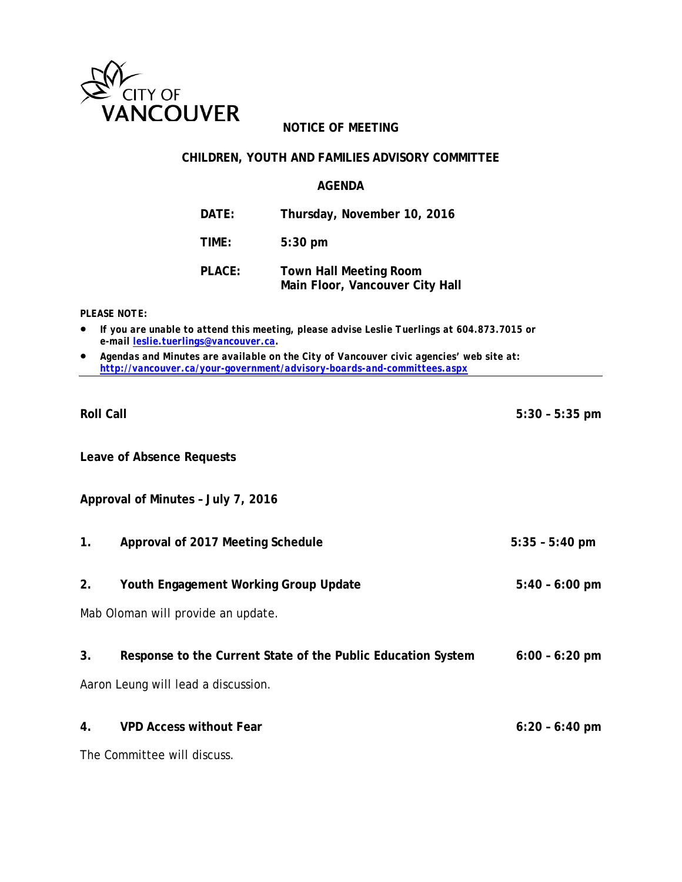

## **NOTICE OF MEETING**

#### **CHILDREN, YOUTH AND FAMILIES ADVISORY COMMITTEE**

#### **AGENDA**

**DATE: Thursday, November 10, 2016**

**TIME: 5:30 pm**

**PLACE: Town Hall Meeting Room Main Floor, Vancouver City Hall**

*PLEASE NOTE:*

- *If you are unable to attend this meeting, please advise Leslie Tuerlings at 604.873.7015 or e-mail leslie.tuerlings@vancouver.ca.*
- *Agendas and Minutes are available on the City of Vancouver civic agencies' web site at: <http://vancouver.ca/your-government/advisory-boards-and-committees.aspx>*

**Leave of Absence Requests**

**Approval of Minutes – July 7, 2016**

- **1. Approval of 2017 Meeting Schedule 5:35 – 5:40 pm**
- **2. Youth Engagement Working Group Update 5:40 – 6:00 pm**

Mab Oloman will provide an update.

**3. Response to the Current State of the Public Education System 6:00 – 6:20 pm**

Aaron Leung will lead a discussion.

**4. VPD Access without Fear 6:20 – 6:40 pm**

The Committee will discuss.

**Roll Call 5:30 – 5:35 pm**